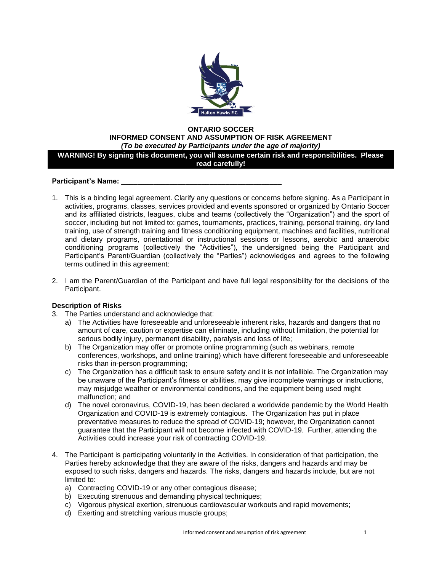

#### **ONTARIO SOCCER INFORMED CONSENT AND ASSUMPTION OF RISK AGREEMENT** *(To be executed by Participants under the age of majority)*

## **WARNING! By signing this document, you will assume certain risk and responsibilities. Please read carefully!**

### Participant's Name:

- 1. This is a binding legal agreement. Clarify any questions or concerns before signing. As a Participant in activities, programs, classes, services provided and events sponsored or organized by Ontario Soccer and its affiliated districts, leagues, clubs and teams (collectively the "Organization") and the sport of soccer, including but not limited to: games, tournaments, practices, training, personal training, dry land training, use of strength training and fitness conditioning equipment, machines and facilities, nutritional and dietary programs, orientational or instructional sessions or lessons, aerobic and anaerobic conditioning programs (collectively the "Activities"), the undersigned being the Participant and Participant's Parent/Guardian (collectively the "Parties") acknowledges and agrees to the following terms outlined in this agreement:
- 2. I am the Parent/Guardian of the Participant and have full legal responsibility for the decisions of the Participant.

## **Description of Risks**

- 3. The Parties understand and acknowledge that:
	- a) The Activities have foreseeable and unforeseeable inherent risks, hazards and dangers that no amount of care, caution or expertise can eliminate, including without limitation, the potential for serious bodily injury, permanent disability, paralysis and loss of life;
	- b) The Organization may offer or promote online programming (such as webinars, remote conferences, workshops, and online training) which have different foreseeable and unforeseeable risks than in-person programming;
	- c) The Organization has a difficult task to ensure safety and it is not infallible. The Organization may be unaware of the Participant's fitness or abilities, may give incomplete warnings or instructions, may misjudge weather or environmental conditions, and the equipment being used might malfunction; and
	- d) The novel coronavirus, COVID-19, has been declared a worldwide pandemic by the World Health Organization and COVID-19 is extremely contagious. The Organization has put in place preventative measures to reduce the spread of COVID-19; however, the Organization cannot guarantee that the Participant will not become infected with COVID-19. Further, attending the Activities could increase your risk of contracting COVID-19.
- 4. The Participant is participating voluntarily in the Activities. In consideration of that participation, the Parties hereby acknowledge that they are aware of the risks, dangers and hazards and may be exposed to such risks, dangers and hazards. The risks, dangers and hazards include, but are not limited to:
	- a) Contracting COVID-19 or any other contagious disease;
	- b) Executing strenuous and demanding physical techniques;
	- c) Vigorous physical exertion, strenuous cardiovascular workouts and rapid movements;
	- d) Exerting and stretching various muscle groups;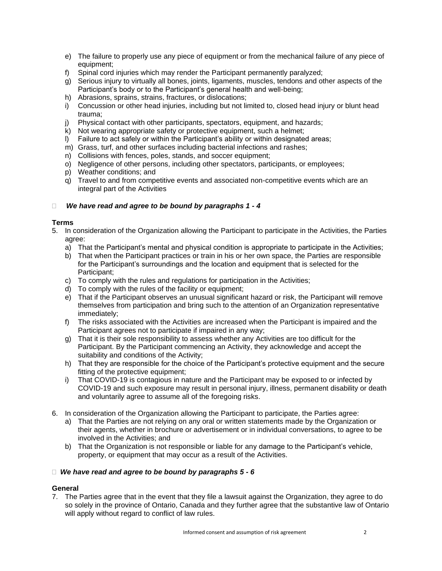- e) The failure to properly use any piece of equipment or from the mechanical failure of any piece of equipment;
- f) Spinal cord injuries which may render the Participant permanently paralyzed;
- g) Serious injury to virtually all bones, joints, ligaments, muscles, tendons and other aspects of the Participant's body or to the Participant's general health and well-being;
- h) Abrasions, sprains, strains, fractures, or dislocations;
- i) Concussion or other head injuries, including but not limited to, closed head injury or blunt head trauma;
- j) Physical contact with other participants, spectators, equipment, and hazards;
- k) Not wearing appropriate safety or protective equipment, such a helmet;
- l) Failure to act safely or within the Participant's ability or within designated areas;
- m) Grass, turf, and other surfaces including bacterial infections and rashes;
- n) Collisions with fences, poles, stands, and soccer equipment;
- o) Negligence of other persons, including other spectators, participants, or employees;
- p) Weather conditions; and
- q) Travel to and from competitive events and associated non-competitive events which are an integral part of the Activities

# *We have read and agree to be bound by paragraphs 1 - 4*

## **Terms**

- 5. In consideration of the Organization allowing the Participant to participate in the Activities, the Parties agree:
	- a) That the Participant's mental and physical condition is appropriate to participate in the Activities;
	- b) That when the Participant practices or train in his or her own space, the Parties are responsible for the Participant's surroundings and the location and equipment that is selected for the Participant;
	- c) To comply with the rules and regulations for participation in the Activities;
	- d) To comply with the rules of the facility or equipment;
	- e) That if the Participant observes an unusual significant hazard or risk, the Participant will remove themselves from participation and bring such to the attention of an Organization representative immediately;
	- f) The risks associated with the Activities are increased when the Participant is impaired and the Participant agrees not to participate if impaired in any way;
	- g) That it is their sole responsibility to assess whether any Activities are too difficult for the Participant. By the Participant commencing an Activity, they acknowledge and accept the suitability and conditions of the Activity;
	- h) That they are responsible for the choice of the Participant's protective equipment and the secure fitting of the protective equipment;
	- i) That COVID-19 is contagious in nature and the Participant may be exposed to or infected by COVID-19 and such exposure may result in personal injury, illness, permanent disability or death and voluntarily agree to assume all of the foregoing risks.
- 6. In consideration of the Organization allowing the Participant to participate, the Parties agree:
	- a) That the Parties are not relying on any oral or written statements made by the Organization or their agents, whether in brochure or advertisement or in individual conversations, to agree to be involved in the Activities; and
	- b) That the Organization is not responsible or liable for any damage to the Participant's vehicle, property, or equipment that may occur as a result of the Activities.

### *We have read and agree to be bound by paragraphs 5 - 6*

# **General**

7. The Parties agree that in the event that they file a lawsuit against the Organization, they agree to do so solely in the province of Ontario, Canada and they further agree that the substantive law of Ontario will apply without regard to conflict of law rules.